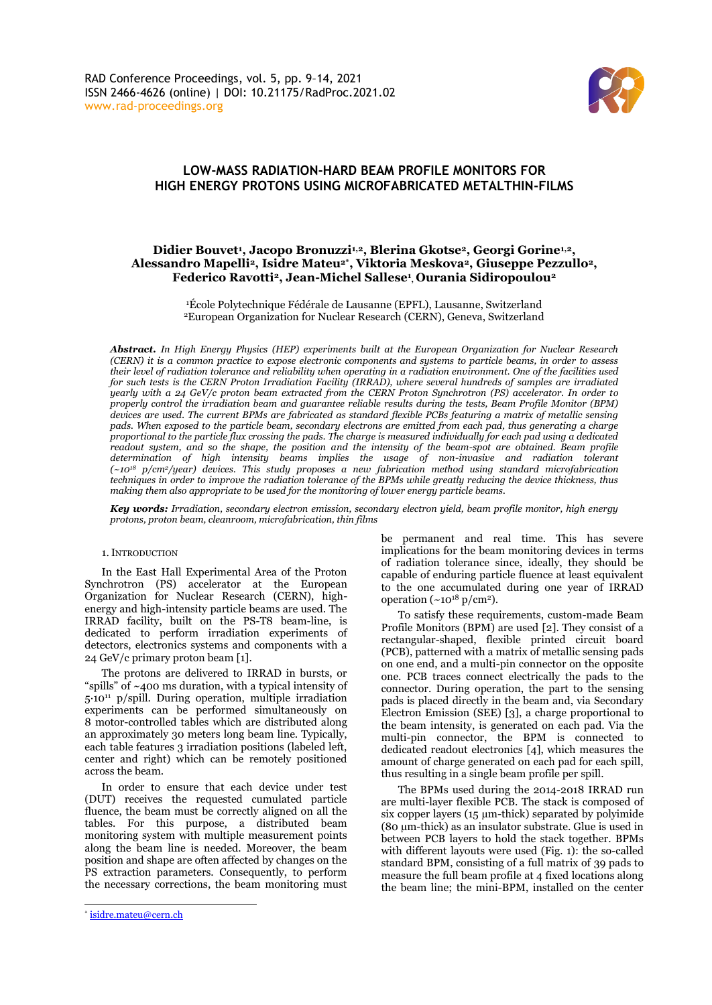

# **LOW-MASS RADIATION-HARD BEAM PROFILE MONITORS FOR HIGH ENERGY PROTONS USING MICROFABRICATED METALTHIN-FILMS**

# **Didier Bouvet<sup>1</sup> , Jacopo Bronuzzi1,2, Blerina Gkotse2, Georgi Gorine1,2, Alessandro Mapelli2, Isidre Mateu2\* , Viktoria Meskova2, Giuseppe Pezzullo2, Federico Ravotti2, Jean-Michel Sallese<sup>1</sup> , Ourania Sidiropoulou<sup>2</sup>**

<sup>1</sup>École Polytechnique Fédérale de Lausanne (EPFL), Lausanne, Switzerland <sup>2</sup>European Organization for Nuclear Research (CERN), Geneva, Switzerland

*Abstract. In High Energy Physics (HEP) experiments built at the European Organization for Nuclear Research (CERN) it is a common practice to expose electronic components and systems to particle beams, in order to assess their level of radiation tolerance and reliability when operating in a radiation environment. One of the facilities used for such tests is the CERN Proton Irradiation Facility (IRRAD), where several hundreds of samples are irradiated yearly with a 24 GeV/c proton beam extracted from the CERN Proton Synchrotron (PS) accelerator. In order to properly control the irradiation beam and guarantee reliable results during the tests, Beam Profile Monitor (BPM) devices are used. The current BPMs are fabricated as standard flexible PCBs featuring a matrix of metallic sensing pads. When exposed to the particle beam, secondary electrons are emitted from each pad, thus generating a charge proportional to the particle flux crossing the pads. The charge is measured individually for each pad using a dedicated readout system, and so the shape, the position and the intensity of the beam-spot are obtained. Beam profile determination of high intensity beams implies the usage of non-invasive and radiation tolerant (~10<sup>18</sup> p/cm2/year) devices. This study proposes a new fabrication method using standard microfabrication techniques in order to improve the radiation tolerance of the BPMs while greatly reducing the device thickness, thus making them also appropriate to be used for the monitoring of lower energy particle beams.*

*Key words: Irradiation, secondary electron emission, secondary electron yield, beam profile monitor, high energy protons, proton beam, cleanroom, microfabrication, thin films*

#### 1.INTRODUCTION

In the East Hall Experimental Area of the Proton Synchrotron (PS) accelerator at the European Organization for Nuclear Research (CERN), highenergy and high-intensity particle beams are used. The IRRAD facility, built on the PS-T8 beam-line, is dedicated to perform irradiation experiments of detectors, electronics systems and components with a 24 GeV/c primary proton beam [1].

The protons are delivered to IRRAD in bursts, or "spills" of ~400 ms duration, with a typical intensity of 5∙10<sup>11</sup> p/spill. During operation, multiple irradiation experiments can be performed simultaneously on 8 motor-controlled tables which are distributed along an approximately 30 meters long beam line. Typically, each table features 3 irradiation positions (labeled left, center and right) which can be remotely positioned across the beam.

In order to ensure that each device under test (DUT) receives the requested cumulated particle fluence, the beam must be correctly aligned on all the tables. For this purpose, a distributed beam monitoring system with multiple measurement points along the beam line is needed. Moreover, the beam position and shape are often affected by changes on the PS extraction parameters. Consequently, to perform the necessary corrections, the beam monitoring must

be permanent and real time. This has severe implications for the beam monitoring devices in terms of radiation tolerance since, ideally, they should be capable of enduring particle fluence at least equivalent to the one accumulated during one year of IRRAD operation  $({\sim}10^{18} \text{ p/cm}^2)$ .

To satisfy these requirements, custom-made Beam Profile Monitors (BPM) are used [2]. They consist of a rectangular-shaped, flexible printed circuit board (PCB), patterned with a matrix of metallic sensing pads on one end, and a multi-pin connector on the opposite one. PCB traces connect electrically the pads to the connector. During operation, the part to the sensing pads is placed directly in the beam and, via Secondary Electron Emission (SEE) [3], a charge proportional to the beam intensity, is generated on each pad. Via the multi-pin connector, the BPM is connected to dedicated readout electronics [4], which measures the amount of charge generated on each pad for each spill, thus resulting in a single beam profile per spill.

The BPMs used during the 2014-2018 IRRAD run are multi-layer flexible PCB. The stack is composed of six copper layers (15 µm-thick) separated by polyimide (80 µm-thick) as an insulator substrate. Glue is used in between PCB layers to hold the stack together. BPMs with different layouts were used (Fig. 1): the so-called standard BPM, consisting of a full matrix of 39 pads to measure the full beam profile at 4 fixed locations along the beam line; the mini-BPM, installed on the center

<sup>\*</sup> [isidre.mateu@cern.ch](mailto:isidre.mateu@cern.ch)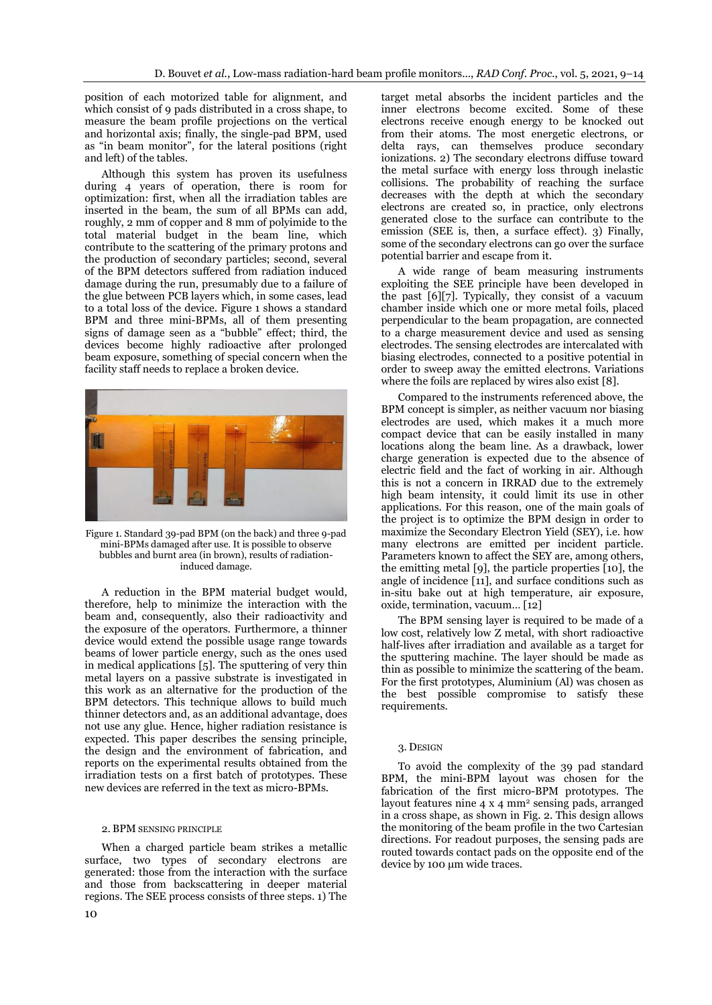position of each motorized table for alignment, and which consist of 9 pads distributed in a cross shape, to measure the beam profile projections on the vertical and horizontal axis; finally, the single-pad BPM, used as "in beam monitor", for the lateral positions (right and left) of the tables.

Although this system has proven its usefulness during 4 years of operation, there is room for optimization: first, when all the irradiation tables are inserted in the beam, the sum of all BPMs can add, roughly, 2 mm of copper and 8 mm of polyimide to the total material budget in the beam line, which contribute to the scattering of the primary protons and the production of secondary particles; second, several of the BPM detectors suffered from radiation induced damage during the run, presumably due to a failure of the glue between PCB layers which, in some cases, lead to a total loss of the device. Figure 1 shows a standard BPM and three mini-BPMs, all of them presenting signs of damage seen as a "bubble" effect; third, the devices become highly radioactive after prolonged beam exposure, something of special concern when the facility staff needs to replace a broken device.



Figure 1. Standard 39-pad BPM (on the back) and three 9-pad mini-BPMs damaged after use. It is possible to observe bubbles and burnt area (in brown), results of radiationinduced damage.

A reduction in the BPM material budget would, therefore, help to minimize the interaction with the beam and, consequently, also their radioactivity and the exposure of the operators. Furthermore, a thinner device would extend the possible usage range towards beams of lower particle energy, such as the ones used in medical applications [5]. The sputtering of very thin metal layers on a passive substrate is investigated in this work as an alternative for the production of the BPM detectors. This technique allows to build much thinner detectors and, as an additional advantage, does not use any glue. Hence, higher radiation resistance is expected. This paper describes the sensing principle, the design and the environment of fabrication, and reports on the experimental results obtained from the irradiation tests on a first batch of prototypes. These new devices are referred in the text as micro-BPMs.

## 2. BPM SENSING PRINCIPLE

When a charged particle beam strikes a metallic surface, two types of secondary electrons are generated: those from the interaction with the surface and those from backscattering in deeper material regions. The SEE process consists of three steps. 1) The

target metal absorbs the incident particles and the inner electrons become excited. Some of these electrons receive enough energy to be knocked out from their atoms. The most energetic electrons, or delta rays, can themselves produce secondary ionizations. 2) The secondary electrons diffuse toward the metal surface with energy loss through inelastic collisions. The probability of reaching the surface decreases with the depth at which the secondary electrons are created so, in practice, only electrons generated close to the surface can contribute to the emission (SEE is, then, a surface effect). 3) Finally, some of the secondary electrons can go over the surface potential barrier and escape from it.

A wide range of beam measuring instruments exploiting the SEE principle have been developed in the past [6][7]. Typically, they consist of a vacuum chamber inside which one or more metal foils, placed perpendicular to the beam propagation, are connected to a charge measurement device and used as sensing electrodes. The sensing electrodes are intercalated with biasing electrodes, connected to a positive potential in order to sweep away the emitted electrons. Variations where the foils are replaced by wires also exist [8].

Compared to the instruments referenced above, the BPM concept is simpler, as neither vacuum nor biasing electrodes are used, which makes it a much more compact device that can be easily installed in many locations along the beam line. As a drawback, lower charge generation is expected due to the absence of electric field and the fact of working in air. Although this is not a concern in IRRAD due to the extremely high beam intensity, it could limit its use in other applications. For this reason, one of the main goals of the project is to optimize the BPM design in order to maximize the Secondary Electron Yield (SEY), i.e. how many electrons are emitted per incident particle. Parameters known to affect the SEY are, among others, the emitting metal [9], the particle properties [10], the angle of incidence [11], and surface conditions such as in-situ bake out at high temperature, air exposure, oxide, termination, vacuum… [12]

The BPM sensing layer is required to be made of a low cost, relatively low Z metal, with short radioactive half-lives after irradiation and available as a target for the sputtering machine. The layer should be made as thin as possible to minimize the scattering of the beam. For the first prototypes, Aluminium (Al) was chosen as the best possible compromise to satisfy these requirements.

## 3. DESIGN

To avoid the complexity of the 39 pad standard BPM, the mini-BPM layout was chosen for the fabrication of the first micro-BPM prototypes. The layout features nine 4 x 4 mm<sup>2</sup> sensing pads, arranged in a cross shape, as shown in Fig. 2. This design allows the monitoring of the beam profile in the two Cartesian directions. For readout purposes, the sensing pads are routed towards contact pads on the opposite end of the device by 100 μm wide traces.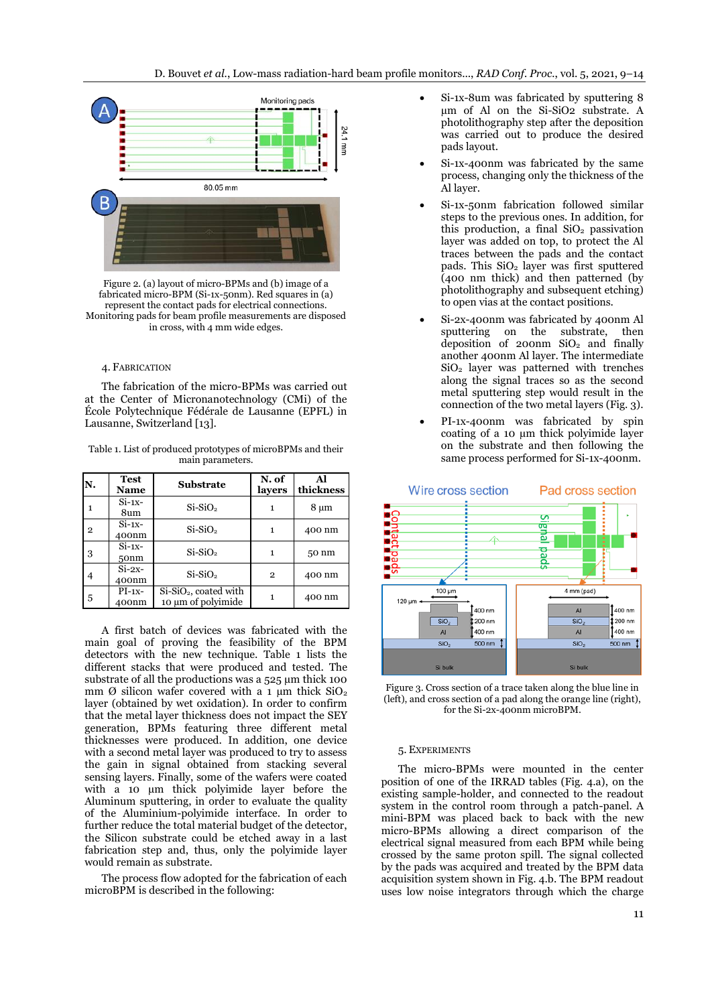

Figure 2. (a) layout of micro-BPMs and (b) image of a fabricated micro-BPM (Si-1x-50nm). Red squares in (a) represent the contact pads for electrical connections. Monitoring pads for beam profile measurements are disposed in cross, with 4 mm wide edges.

#### 4. FABRICATION

The fabrication of the micro-BPMs was carried out at the Center of Micronanotechnology (CMi) of the École Polytechnique Fédérale de Lausanne (EPFL) in Lausanne, Switzerland [13].

Table 1. List of produced prototypes of microBPMs and their main parameters.

| N.             | <b>Test</b><br><b>Name</b>   | <b>Substrate</b>                              | N. of<br>layers | Al<br>thickness  |
|----------------|------------------------------|-----------------------------------------------|-----------------|------------------|
| 1              | $Si-1x-$<br>8um              | $Si-SiO2$                                     |                 | $8 \mu m$        |
| $\overline{2}$ | $Si-1x-$<br>400nm            | $Si-SiO2$                                     | 1               | 400 nm           |
| 3              | $Si-1x-$<br>50 <sub>nm</sub> | $Si-SiO2$                                     | 1               | 50 <sub>nm</sub> |
| 4              | $Si-2x-$<br>400nm            | $Si-SiO2$                                     | $\mathbf{2}$    | 400 nm           |
| 5              | $PI-1x-$<br>400nm            | $Si-SiO2$ , coated with<br>10 µm of polyimide |                 | 400 nm           |

A first batch of devices was fabricated with the main goal of proving the feasibility of the BPM detectors with the new technique. Table 1 lists the different stacks that were produced and tested. The substrate of all the productions was a 525  $\mu$ m thick 100 mm Ø silicon wafer covered with a 1  $\mu$ m thick SiO<sub>2</sub> layer (obtained by wet oxidation). In order to confirm that the metal layer thickness does not impact the SEY generation, BPMs featuring three different metal thicknesses were produced. In addition, one device with a second metal layer was produced to try to assess the gain in signal obtained from stacking several sensing layers. Finally, some of the wafers were coated with a 10  $\mu$ m thick polyimide layer before the Aluminum sputtering, in order to evaluate the quality of the Aluminium-polyimide interface. In order to further reduce the total material budget of the detector, the Silicon substrate could be etched away in a last fabrication step and, thus, only the polyimide layer would remain as substrate.

The process flow adopted for the fabrication of each microBPM is described in the following:

- Si-1x-8um was fabricated by sputtering 8 µm of Al on the Si-SiO2 substrate. A photolithography step after the deposition was carried out to produce the desired pads layout.
- Si-1x-400nm was fabricated by the same process, changing only the thickness of the Al layer.
- Si-1x-50nm fabrication followed similar steps to the previous ones. In addition, for this production, a final  $SiO<sub>2</sub>$  passivation layer was added on top, to protect the Al traces between the pads and the contact pads. This SiO<sub>2</sub> layer was first sputtered (400 nm thick) and then patterned (by photolithography and subsequent etching) to open vias at the contact positions.
- Si-2x-400nm was fabricated by 400nm Al sputtering on the substrate, then deposition of 200nm  $SiO<sub>2</sub>$  and finally another 400nm Al layer. The intermediate SiO<sup>2</sup> layer was patterned with trenches along the signal traces so as the second metal sputtering step would result in the connection of the two metal layers (Fig. 3).
- PI-1x-400nm was fabricated by spin coating of a 10 µm thick polyimide layer on the substrate and then following the same process performed for Si-1x-400nm.



Figure 3. Cross section of a trace taken along the blue line in (left), and cross section of a pad along the orange line (right), for the Si-2x-400nm microBPM.

# 5. EXPERIMENTS

The micro-BPMs were mounted in the center position of one of the IRRAD tables (Fig. 4.a), on the existing sample-holder, and connected to the readout system in the control room through a patch-panel. A mini-BPM was placed back to back with the new micro-BPMs allowing a direct comparison of the electrical signal measured from each BPM while being crossed by the same proton spill. The signal collected by the pads was acquired and treated by the BPM data acquisition system shown in Fig. 4.b. The BPM readout uses low noise integrators through which the charge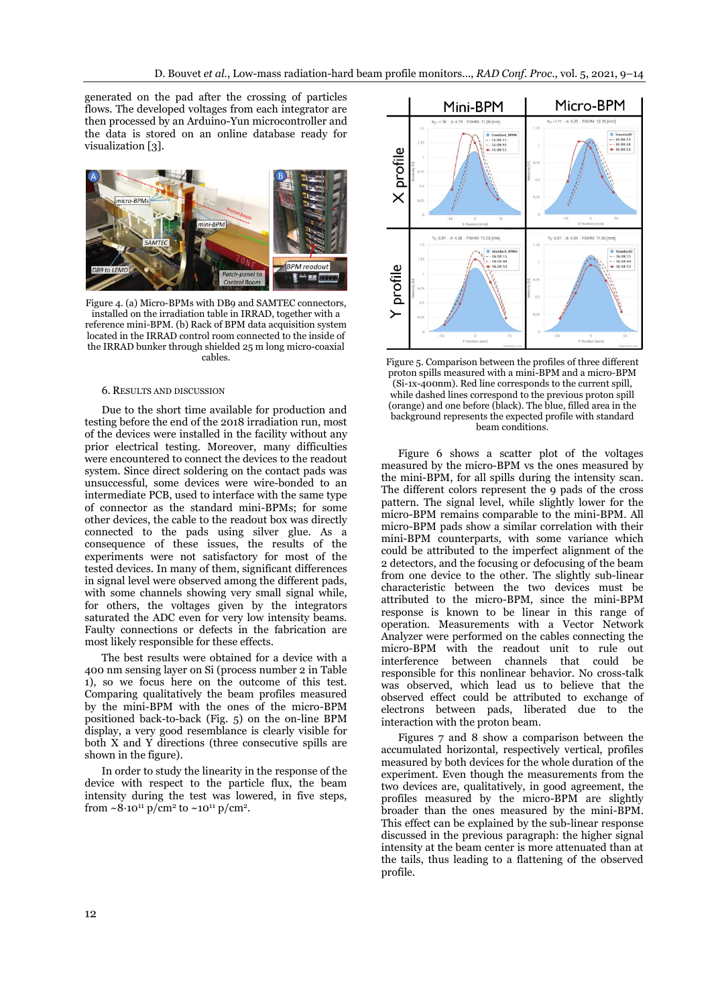generated on the pad after the crossing of particles flows. The developed voltages from each integrator are then processed by an Arduino-Yun microcontroller and the data is stored on an online database ready for visualization [3].



Figure 4. (a) Micro-BPMs with DB9 and SAMTEC connectors, installed on the irradiation table in IRRAD, together with a reference mini-BPM. (b) Rack of BPM data acquisition system located in the IRRAD control room connected to the inside of the IRRAD bunker through shielded 25 m long micro-coaxial cables.

#### 6. RESULTS AND DISCUSSION

Due to the short time available for production and testing before the end of the 2018 irradiation run, most of the devices were installed in the facility without any prior electrical testing. Moreover, many difficulties were encountered to connect the devices to the readout system. Since direct soldering on the contact pads was unsuccessful, some devices were wire-bonded to an intermediate PCB, used to interface with the same type of connector as the standard mini-BPMs; for some other devices, the cable to the readout box was directly connected to the pads using silver glue. As a consequence of these issues, the results of the experiments were not satisfactory for most of the tested devices. In many of them, significant differences in signal level were observed among the different pads, with some channels showing very small signal while, for others, the voltages given by the integrators saturated the ADC even for very low intensity beams. Faulty connections or defects in the fabrication are most likely responsible for these effects.

The best results were obtained for a device with a 400 nm sensing layer on Si (process number 2 in Table 1), so we focus here on the outcome of this test. Comparing qualitatively the beam profiles measured by the mini-BPM with the ones of the micro-BPM positioned back-to-back (Fig. 5) on the on-line BPM display, a very good resemblance is clearly visible for both X and Y directions (three consecutive spills are shown in the figure).

In order to study the linearity in the response of the device with respect to the particle flux, the beam intensity during the test was lowered, in five steps, from  $\sim$ 8·10<sup>11</sup> p/cm<sup>2</sup> to  $\sim$ 10<sup>11</sup> p/cm<sup>2</sup>.



Figure 5. Comparison between the profiles of three different proton spills measured with a mini-BPM and a micro-BPM (Si-1x-400nm). Red line corresponds to the current spill, while dashed lines correspond to the previous proton spill (orange) and one before (black). The blue, filled area in the background represents the expected profile with standard beam conditions.

Figure 6 shows a scatter plot of the voltages measured by the micro-BPM vs the ones measured by the mini-BPM, for all spills during the intensity scan. The different colors represent the 9 pads of the cross pattern. The signal level, while slightly lower for the micro-BPM remains comparable to the mini-BPM. All micro-BPM pads show a similar correlation with their mini-BPM counterparts, with some variance which could be attributed to the imperfect alignment of the 2 detectors, and the focusing or defocusing of the beam from one device to the other. The slightly sub-linear characteristic between the two devices must be attributed to the micro-BPM, since the mini-BPM response is known to be linear in this range of operation. Measurements with a Vector Network Analyzer were performed on the cables connecting the micro-BPM with the readout unit to rule out interference between channels that could be responsible for this nonlinear behavior. No cross-talk was observed, which lead us to believe that the observed effect could be attributed to exchange of electrons between pads, liberated due to the interaction with the proton beam.

Figures 7 and 8 show a comparison between the accumulated horizontal, respectively vertical, profiles measured by both devices for the whole duration of the experiment. Even though the measurements from the two devices are, qualitatively, in good agreement, the profiles measured by the micro-BPM are slightly broader than the ones measured by the mini-BPM. This effect can be explained by the sub-linear response discussed in the previous paragraph: the higher signal intensity at the beam center is more attenuated than at the tails, thus leading to a flattening of the observed profile.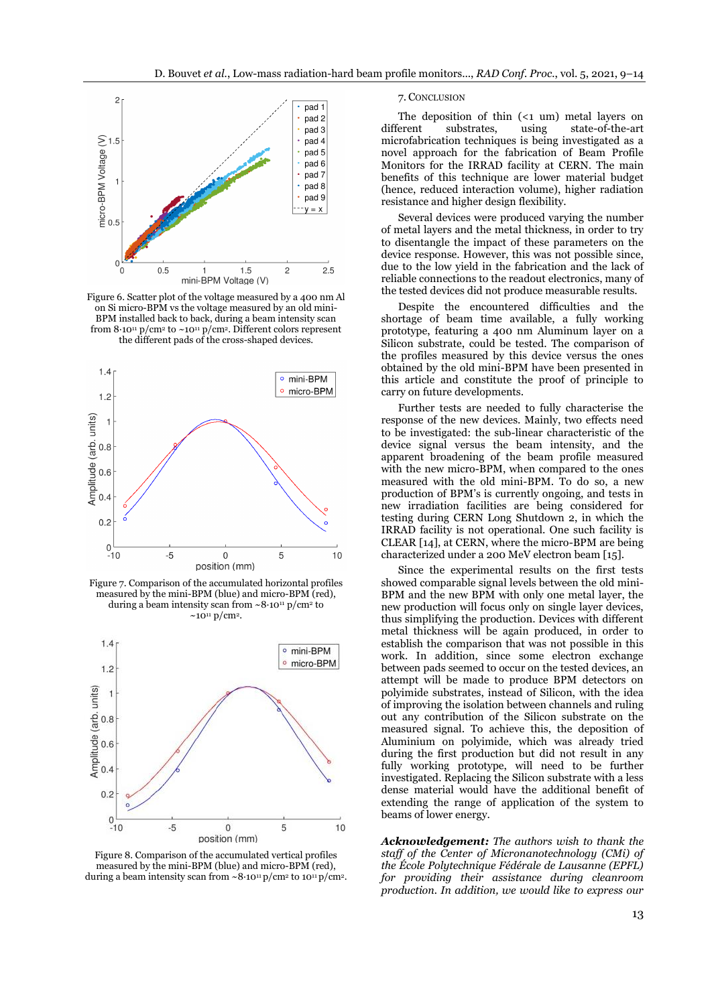

Figure 6. Scatter plot of the voltage measured by a 400 nm Al on Si micro-BPM vs the voltage measured by an old mini-BPM installed back to back, during a beam intensity scan from  $8.10^{11}$  p/cm<sup>2</sup> to  $\sim$ 10<sup>11</sup> p/cm<sup>2</sup>. Different colors represent the different pads of the cross-shaped devices.



Figure 7. Comparison of the accumulated horizontal profiles measured by the mini-BPM (blue) and micro-BPM (red), during a beam intensity scan from  $\sim 8.10^{11} \text{ p/cm}^2$  to  $\sim$ 10<sup>11</sup> p/cm<sup>2</sup>.



Figure 8. Comparison of the accumulated vertical profiles measured by the mini-BPM (blue) and micro-BPM (red), during a beam intensity scan from  $\sim 8 \cdot 10^{11} \text{ p/cm}^2$  to  $10^{11} \text{ p/cm}^2$ .

## 7. CONCLUSION

The deposition of thin  $(\leq 1 \text{ um})$  metal layers on different substrates, using state-of-the-art microfabrication techniques is being investigated as a novel approach for the fabrication of Beam Profile Monitors for the IRRAD facility at CERN. The main benefits of this technique are lower material budget (hence, reduced interaction volume), higher radiation resistance and higher design flexibility.

Several devices were produced varying the number of metal layers and the metal thickness, in order to try to disentangle the impact of these parameters on the device response. However, this was not possible since, due to the low yield in the fabrication and the lack of reliable connections to the readout electronics, many of the tested devices did not produce measurable results.

Despite the encountered difficulties and the shortage of beam time available, a fully working prototype, featuring a 400 nm Aluminum layer on a Silicon substrate, could be tested. The comparison of the profiles measured by this device versus the ones obtained by the old mini-BPM have been presented in this article and constitute the proof of principle to carry on future developments.

Further tests are needed to fully characterise the response of the new devices. Mainly, two effects need to be investigated: the sub-linear characteristic of the device signal versus the beam intensity, and the apparent broadening of the beam profile measured with the new micro-BPM, when compared to the ones measured with the old mini-BPM. To do so, a new production of BPM's is currently ongoing, and tests in new irradiation facilities are being considered for testing during CERN Long Shutdown 2, in which the IRRAD facility is not operational. One such facility is CLEAR [14], at CERN, where the micro-BPM are being characterized under a 200 MeV electron beam [15].

Since the experimental results on the first tests showed comparable signal levels between the old mini-BPM and the new BPM with only one metal layer, the new production will focus only on single layer devices, thus simplifying the production. Devices with different metal thickness will be again produced, in order to establish the comparison that was not possible in this work. In addition, since some electron exchange between pads seemed to occur on the tested devices, an attempt will be made to produce BPM detectors on polyimide substrates, instead of Silicon, with the idea of improving the isolation between channels and ruling out any contribution of the Silicon substrate on the measured signal. To achieve this, the deposition of Aluminium on polyimide, which was already tried during the first production but did not result in any fully working prototype, will need to be further investigated. Replacing the Silicon substrate with a less dense material would have the additional benefit of extending the range of application of the system to beams of lower energy.

*Acknowledgement: The authors wish to thank the staff of the Center of Micronanotechnology (CMi) of the École Polytechnique Fédérale de Lausanne (EPFL) for providing their assistance during cleanroom production. In addition, we would like to express our*